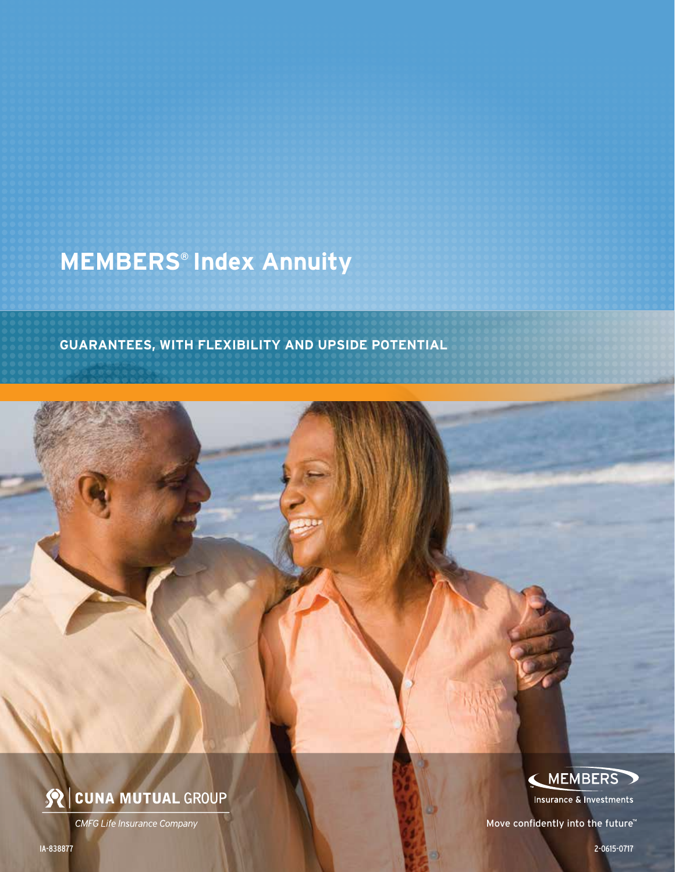## **MEMBERS® Index Annuity**

**GUARANTEES, WITH FLEXIBILITY AND UPSIDE POTENTIAL**



**CMFG Life Insurance Company** 

(MEMBERS

Insurance & Investments

Move confidently into the future™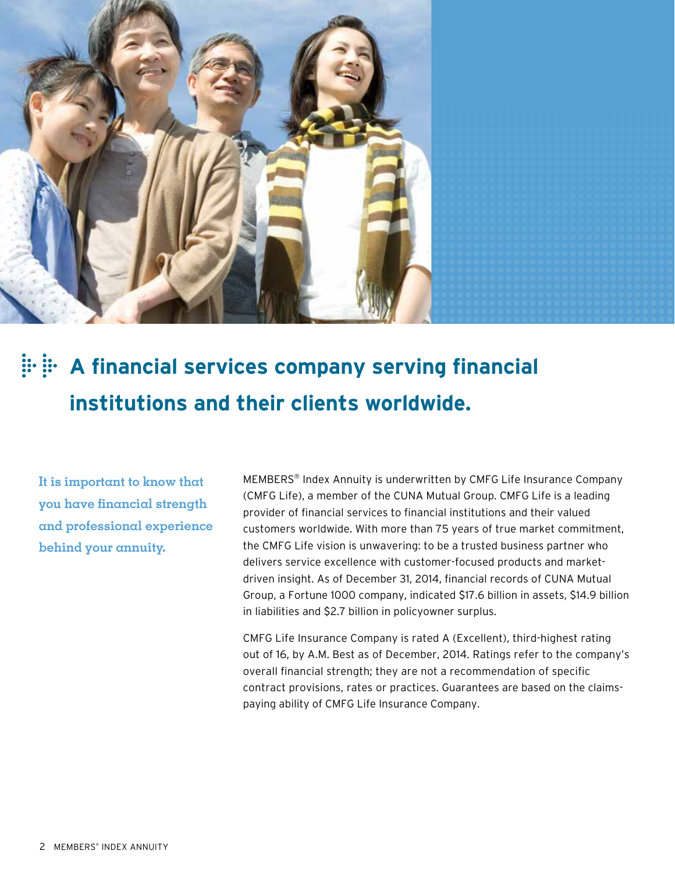

# **A financial services company serving financial institutions and their clients worldwide.**

**It is important to know that you have financial strength and professional experience behind your annuity.**

MEMBERS® Index Annuity is underwritten by CMFG Life Insurance Company (CMFG Life), a member of the CUNA Mutual Group. CMFG Life is a leading provider of financial services to financial institutions and their valued customers worldwide. With more than 75 years of true market commitment, the CMFG Life vision is unwavering: to be a trusted business partner who delivers service excellence with customer-focused products and marketdriven insight. As of December 31, 2014, financial records of CUNA Mutual Group, a Fortune 1000 company, indicated \$17.6 billion in assets, \$14.9 billion in liabilities and \$2.7 billion in policyowner surplus.

CMFG Life Insurance Company is rated A (Excellent), third-highest rating out of 16, by A.M. Best as of December, 2014. Ratings refer to the company's overall financial strength; they are not a recommendation of specific contract provisions, rates or practices. Guarantees are based on the claimspaying ability of CMFG Life Insurance Company.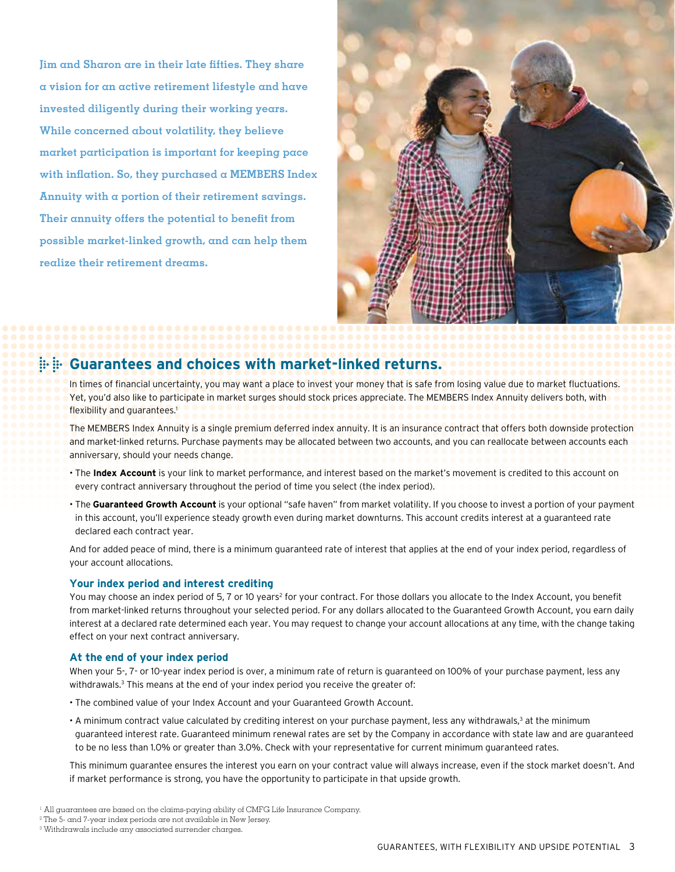**Jim and Sharon are in their late fifties. They share a vision for an active retirement lifestyle and have invested diligently during their working years. While concerned about volatility, they believe market participation is important for keeping pace with inflation. So, they purchased a MEMBERS Index Annuity with a portion of their retirement savings. Their annuity offers the potential to benefit from possible market-linked growth, and can help them realize their retirement dreams.**



### **Guarantees and choices with market-linked returns.**

In times of financial uncertainty, you may want a place to invest your money that is safe from losing value due to market fluctuations. Yet, you'd also like to participate in market surges should stock prices appreciate. The MEMBERS Index Annuity delivers both, with flexibility and quarantees.<sup>1</sup>

The MEMBERS Index Annuity is a single premium deferred index annuity. It is an insurance contract that offers both downside protection and market-linked returns. Purchase payments may be allocated between two accounts, and you can reallocate between accounts each anniversary, should your needs change.

- The **Index Account** is your link to market performance, and interest based on the market's movement is credited to this account on every contract anniversary throughout the period of time you select (the index period).
- The **Guaranteed Growth Account** is your optional "safe haven" from market volatility. If you choose to invest a portion of your payment in this account, you'll experience steady growth even during market downturns. This account credits interest at a guaranteed rate declared each contract year.

And for added peace of mind, there is a minimum guaranteed rate of interest that applies at the end of your index period, regardless of your account allocations.

### **Your index period and interest crediting**

You may choose an index period of 5, 7 or 10 years<sup>2</sup> for your contract. For those dollars you allocate to the Index Account, you benefit from market-linked returns throughout your selected period. For any dollars allocated to the Guaranteed Growth Account, you earn daily interest at a declared rate determined each year. You may request to change your account allocations at any time, with the change taking effect on your next contract anniversary.

### **At the end of your index period**

When your 5-, 7- or 10-year index period is over, a minimum rate of return is quaranteed on 100% of your purchase payment, less any withdrawals.<sup>3</sup> This means at the end of your index period you receive the greater of:

- The combined value of your Index Account and your Guaranteed Growth Account.
- A minimum contract value calculated by crediting interest on your purchase payment, less any withdrawals,<sup>3</sup> at the minimum guaranteed interest rate. Guaranteed minimum renewal rates are set by the Company in accordance with state law and are guaranteed to be no less than 1.0% or greater than 3.0%. Check with your representative for current minimum guaranteed rates.

This minimum guarantee ensures the interest you earn on your contract value will always increase, even if the stock market doesn't. And if market performance is strong, you have the opportunity to participate in that upside growth.

1 All guarantees are based on the claims-paying ability of CMFG Life Insurance Company.

3 Withdrawals include any associated surrender charges.

<sup>2</sup> The 5- and 7-year index periods are not available in New Jersey.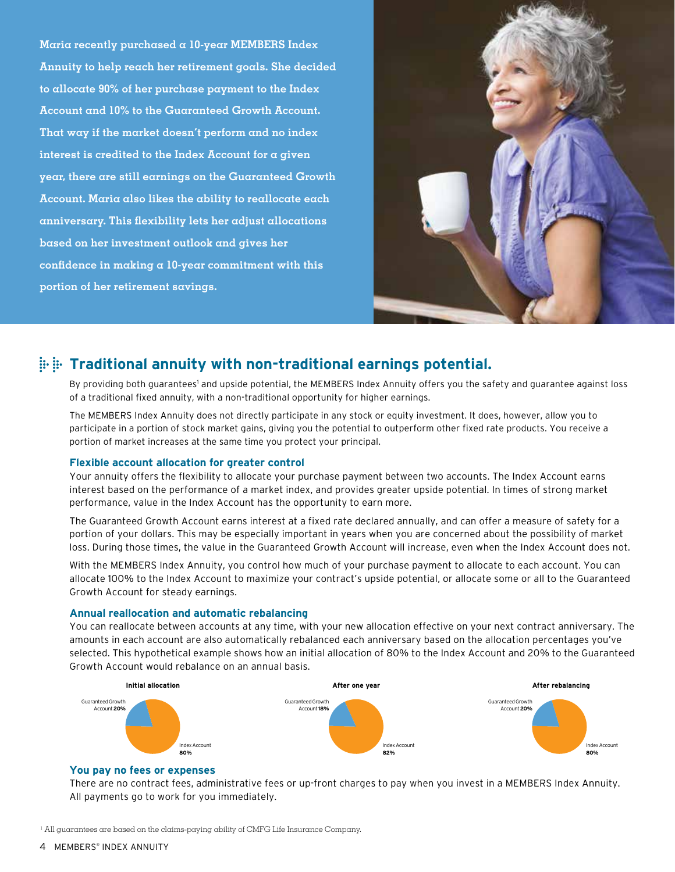**Maria recently purchased a 10-year MEMBERS Index Annuity to help reach her retirement goals. She decided to allocate 90% of her purchase payment to the Index Account and 10% to the Guaranteed Growth Account. That way if the market doesn't perform and no index interest is credited to the Index Account for a given year, there are still earnings on the Guaranteed Growth Account. Maria also likes the ability to reallocate each anniversary. This flexibility lets her adjust allocations based on her investment outlook and gives her confidence in making a 10-year commitment with this portion of her retirement savings.**



### **Traditional annuity with non-traditional earnings potential.**

By providing both guarantees' and upside potential, the MEMBERS Index Annuity offers you the safety and guarantee against loss of a traditional fixed annuity, with a non-traditional opportunity for higher earnings.

The MEMBERS Index Annuity does not directly participate in any stock or equity investment. It does, however, allow you to participate in a portion of stock market gains, giving you the potential to outperform other fixed rate products. You receive a portion of market increases at the same time you protect your principal.

### **Flexible account allocation for greater control**

Your annuity offers the flexibility to allocate your purchase payment between two accounts. The Index Account earns interest based on the performance of a market index, and provides greater upside potential. In times of strong market performance, value in the Index Account has the opportunity to earn more.

The Guaranteed Growth Account earns interest at a fixed rate declared annually, and can offer a measure of safety for a portion of your dollars. This may be especially important in years when you are concerned about the possibility of market loss. During those times, the value in the Guaranteed Growth Account will increase, even when the Index Account does not.

With the MEMBERS Index Annuity, you control how much of your purchase payment to allocate to each account. You can allocate 100% to the Index Account to maximize your contract's upside potential, or allocate some or all to the Guaranteed Growth Account for steady earnings.

### **Annual reallocation and automatic rebalancing**

You can reallocate between accounts at any time, with your new allocation effective on your next contract anniversary. The amounts in each account are also automatically rebalanced each anniversary based on the allocation percentages you've selected. This hypothetical example shows how an initial allocation of 80% to the Index Account and 20% to the Guaranteed Growth Account would rebalance on an annual basis.



### **You pay no fees or expenses**

There are no contract fees, administrative fees or up-front charges to pay when you invest in a MEMBERS Index Annuity. All payments go to work for you immediately.

<sup>1</sup> All guarantees are based on the claims-paying ability of CMFG Life Insurance Company.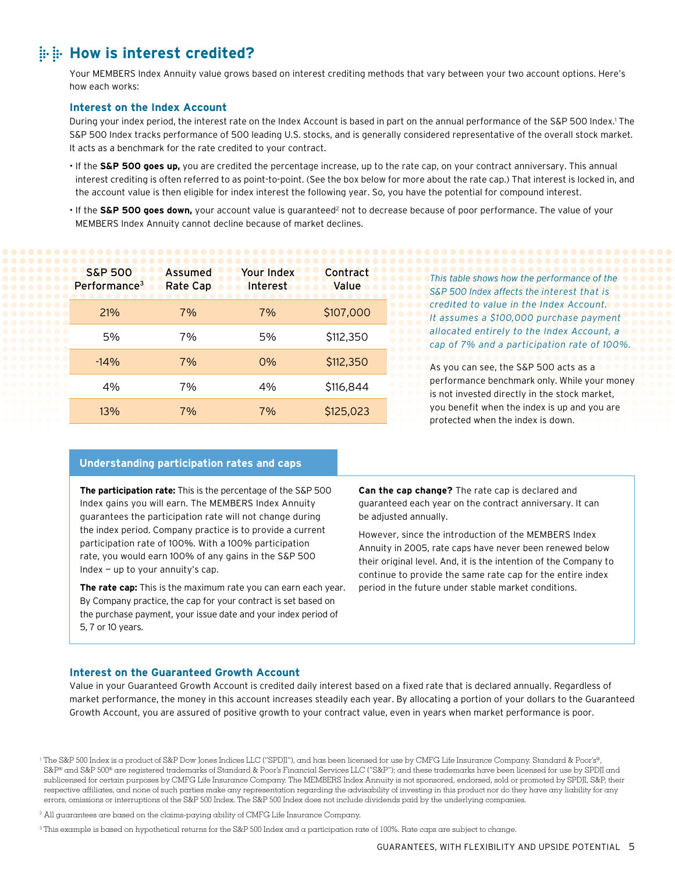### **How is interest credited?**

Your MEMBERS Index Annuity value grows based on interest crediting methods that vary between your two account options. Here's how each works:

### **Interest on the Index Account**

During your index period, the interest rate on the Index Account is based in part on the annual performance of the S&P 500 Index.1 The S&P 500 Index tracks performance of 500 leading U.S. stocks, and is generally considered representative of the overall stock market. It acts as a benchmark for the rate credited to your contract.

- If the **S&P 500 goes up,** you are credited the percentage increase, up to the rate cap, on your contract anniversary. This annual interest crediting is often referred to as point-to-point. (See the box below for more about the rate cap.) That interest is locked in, and the account value is then eligible for index interest the following year. So, you have the potential for compound interest.
- If the S&P 500 goes down, your account value is guaranteed<sup>2</sup> not to decrease because of poor performance. The value of your MEMBERS Index Annuity cannot decline because of market declines.

| <b>S&amp;P 500</b><br>Performance <sup>3</sup> | <b>Assumed</b><br><b>Rate Cap</b> | <b>Your Index</b><br>Interest | Contract<br>Value |
|------------------------------------------------|-----------------------------------|-------------------------------|-------------------|
| 21%                                            | 7%                                | 7%                            | \$107,000         |
| 5%                                             | 7%                                | 5%                            | \$112,350         |
| $-14%$                                         | 7%                                | 0%                            | \$112,350         |
| 4%                                             | 7%                                | 4%                            | \$116,844         |
| 13%                                            | 7%                                | 7%                            | \$125,023         |

*This table shows how the performance of the S&P 500 Index affects the interest that is credited to value in the Index Account. It assumes a \$100,000 purchase payment allocated entirely to the Index Account, a cap of 7% and a participation rate of 100%.*

As you can see, the S&P 500 acts as a performance benchmark only. While your money is not invested directly in the stock market, you benefit when the index is up and you are protected when the index is down.

#### **Understanding participation rates and caps**

**The participation rate:** This is the percentage of the S&P 500 Index gains you will earn. The MEMBERS Index Annuity guarantees the participation rate will not change during the index period. Company practice is to provide a current participation rate of 100%. With a 100% participation rate, you would earn 100% of any gains in the S&P 500 Index — up to your annuity's cap.

**The rate cap:** This is the maximum rate you can earn each year. By Company practice, the cap for your contract is set based on the purchase payment, your issue date and your index period of 5, 7 or 10 years.

**Can the cap change?** The rate cap is declared and guaranteed each year on the contract anniversary. It can be adjusted annually.

However, since the introduction of the MEMBERS Index Annuity in 2005, rate caps have never been renewed below their original level. And, it is the intention of the Company to continue to provide the same rate cap for the entire index period in the future under stable market conditions.

### **Interest on the Guaranteed Growth Account**

Value in your Guaranteed Growth Account is credited daily interest based on a fixed rate that is declared annually. Regardless of market performance, the money in this account increases steadily each year. By allocating a portion of your dollars to the Guaranteed Growth Account, you are assured of positive growth to your contract value, even in years when market performance is poor.

<sup>2</sup> All guarantees are based on the claims-paying ability of CMFG Life Insurance Company.

<sup>3</sup> This example is based on hypothetical returns for the S&P 500 Index and a participation rate of 100%. Rate caps are subject to change.

<sup>1</sup> The S&P 500 Index is a product of S&P Dow Jones Indices LLC ("SPDJI"), and has been licensed for use by CMFG Life Insurance Company. Standard & Poor's®, S&P® and S&P 500® are registered trademarks of Standard & Poor's Financial Services LLC ("S&P"); and these trademarks have been licensed for use by SPDJI and sublicensed for certain purposes by CMFG Life Insurance Company. The MEMBERS Index Annuity is not sponsored, endorsed, sold or promoted by SPDJI, S&P, their respective affiliates, and none of such parties make any representation regarding the advisability of investing in this product nor do they have any liability for any errors, omissions or interruptions of the S&P 500 Index. The S&P 500 Index does not include dividends paid by the underlying companies.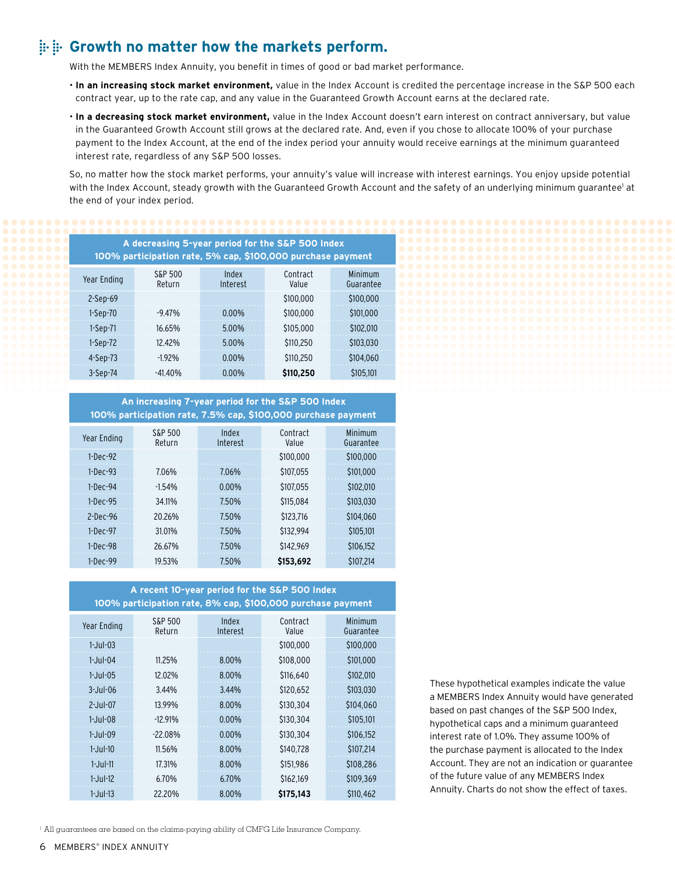### **Growth no matter how the markets perform.**

With the MEMBERS Index Annuity, you benefit in times of good or bad market performance.

- **In an increasing stock market environment,** value in the Index Account is credited the percentage increase in the S&P 500 each contract year, up to the rate cap, and any value in the Guaranteed Growth Account earns at the declared rate.
- **In a decreasing stock market environment,** value in the Index Account doesn't earn interest on contract anniversary, but value in the Guaranteed Growth Account still grows at the declared rate. And, even if you chose to allocate 100% of your purchase payment to the Index Account, at the end of the index period your annuity would receive earnings at the minimum guaranteed interest rate, regardless of any S&P 500 losses.

So, no matter how the stock market performs, your annuity's value will increase with interest earnings. You enjoy upside potential with the Index Account, steady growth with the Guaranteed Growth Account and the safety of an underlying minimum guarantee' at the end of your index period.

| A decreasing 5-year period for the S&P 500 Index<br>100% participation rate, 5% cap, \$100,000 purchase payment |                   |                   |                   |                      |  |  |
|-----------------------------------------------------------------------------------------------------------------|-------------------|-------------------|-------------------|----------------------|--|--|
| Year Ending                                                                                                     | S&P 500<br>Return | Index<br>Interest | Contract<br>Value | Minimum<br>Guarantee |  |  |
| $2-Sep-69$                                                                                                      |                   |                   | \$100.000         | \$100,000            |  |  |
| $1-Sep-70$                                                                                                      | $-9.47%$          | $0.00\%$          | \$100.000         | \$101.000            |  |  |
| $1-Sep-71$                                                                                                      | 16.65%            | 5.00%             | \$105.000         | \$102.010            |  |  |
| $1-Sep-72$                                                                                                      | 12 42%            | 5.00%             | \$110.250         | \$103,030            |  |  |
| $4-Sep-73$                                                                                                      | $-1.92%$          | $0.00\%$          | \$110.250         | \$104.060            |  |  |
| $3-Sep-74$                                                                                                      | $-41.40%$         | $0.00\%$          | \$110,250         | \$105,101            |  |  |

**An increasing 7-year period for the S&P 500 Index 100% participation rate, 7.5% cap, \$100,000 purchase payment** Year Ending S&P 500 Return Index Interest Contract Value Minimum Guarantee 1-Dec-92 \$100,000 \$100,000 1-Dec-93 7.06% 7.06% \$107,055 \$101,000 1-Dec-94 -1.54% 0.00% \$107,055 \$102,010 1-Dec-95 34.11% 7.50% \$115,084 \$103,030 2-Dec-96 20.26% 7.50% \$123,716 \$104,060 1-Dec-97 31.01% 7.50% \$132,994 \$105,101 1-Dec-98 26.67% 7.50% \$142,969 \$106,152

**A recent 10-year period for the S&P 500 Index 100% participation rate, 8% cap, \$100,000 purchase payment**

1-Dec-99 19.53% 7.50% **\$153,692** \$107,214

| S&P 500<br>Return | Index<br>Interest | Contract<br>Value | Minimum<br>Guarantee |
|-------------------|-------------------|-------------------|----------------------|
|                   |                   | \$100,000         | \$100,000            |
| 11.25%            | 8.00%             | \$108,000         | \$101,000            |
| 12.02%            | 8.00%             | \$116,640         | \$102,010            |
| 3.44%             | 3.44%             | \$120,652         | \$103.030            |
| 13.99%            | 8.00%             | \$130.304         | \$104.060            |
| $-12.91%$         | $0.00\%$          | \$130.304         | \$105.101            |
| $-22.08%$         | $0.00\%$          | \$130.304         | \$106.152            |
| 11.56%            | 8.00%             | \$140,728         | \$107.214            |
| 17.31%            | 8.00%             | \$151,986         | \$108.286            |
| 6.70%             | 6.70%             | \$162.169         | \$109.369            |
| 22.20%            | 8.00%             | \$175,143         | \$110.462            |
|                   |                   |                   |                      |

These hypothetical examples indicate the value a MEMBERS Index Annuity would have generated based on past changes of the S&P 500 Index, hypothetical caps and a minimum guaranteed interest rate of 1.0%. They assume 100% of the purchase payment is allocated to the Index Account. They are not an indication or guarantee of the future value of any MEMBERS Index Annuity. Charts do not show the effect of taxes.

<sup>1</sup> All guarantees are based on the claims-paying ability of CMFG Life Insurance Company.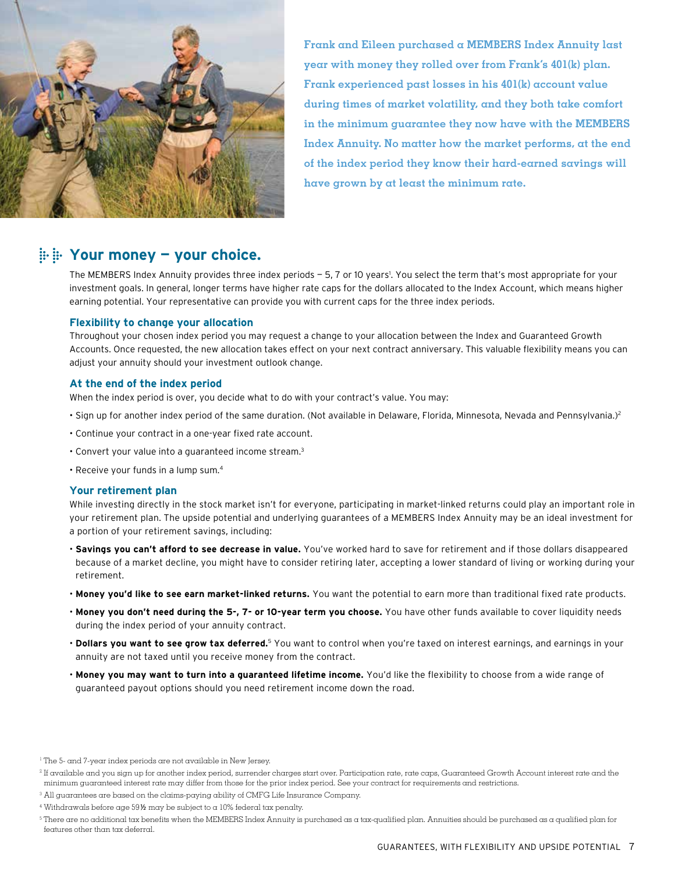

**Frank and Eileen purchased a MEMBERS Index Annuity last year with money they rolled over from Frank's 401(k) plan. Frank experienced past losses in his 401(k) account value during times of market volatility, and they both take comfort in the minimum guarantee they now have with the MEMBERS Index Annuity. No matter how the market performs, at the end of the index period they know their hard-earned savings will have grown by at least the minimum rate.**

### **Your money — your choice.**

The MEMBERS Index Annuity provides three index periods – 5, 7 or 10 years'. You select the term that's most appropriate for your investment goals. In general, longer terms have higher rate caps for the dollars allocated to the Index Account, which means higher earning potential. Your representative can provide you with current caps for the three index periods.

### **Flexibility to change your allocation**

Throughout your chosen index period you may request a change to your allocation between the Index and Guaranteed Growth Accounts. Once requested, the new allocation takes effect on your next contract anniversary. This valuable flexibility means you can adjust your annuity should your investment outlook change.

### **At the end of the index period**

When the index period is over, you decide what to do with your contract's value. You may:

- Sign up for another index period of the same duration. (Not available in Delaware, Florida, Minnesota, Nevada and Pennsylvania.)<sup>2</sup>
- Continue your contract in a one-year fixed rate account.
- Convert your value into a guaranteed income stream.3
- Receive your funds in a lump sum.4

### **Your retirement plan**

While investing directly in the stock market isn't for everyone, participating in market-linked returns could play an important role in your retirement plan. The upside potential and underlying guarantees of a MEMBERS Index Annuity may be an ideal investment for a portion of your retirement savings, including:

- **Savings you can't afford to see decrease in value.** You've worked hard to save for retirement and if those dollars disappeared because of a market decline, you might have to consider retiring later, accepting a lower standard of living or working during your retirement.
- **Money you'd like to see earn market-linked returns.** You want the potential to earn more than traditional fixed rate products.
- **Money you don't need during the 5-, 7- or 10-year term you choose.** You have other funds available to cover liquidity needs during the index period of your annuity contract.
- **Dollars you want to see grow tax deferred.**5 You want to control when you're taxed on interest earnings, and earnings in your annuity are not taxed until you receive money from the contract.
- **Money you may want to turn into a guaranteed lifetime income.** You'd like the flexibility to choose from a wide range of guaranteed payout options should you need retirement income down the road.

<sup>&</sup>lt;sup>1</sup> The 5- and 7-year index periods are not available in New Jersey.

<sup>2</sup> If available and you sign up for another index period, surrender charges start over. Participation rate, rate caps, Guaranteed Growth Account interest rate and the minimum guaranteed interest rate may differ from those for the prior index period. See your contract for requirements and restrictions.

<sup>&</sup>lt;sup>3</sup> All guarantees are based on the claims-paying ability of CMFG Life Insurance Company.

<sup>4</sup> Withdrawals before age 59½ may be subject to a 10% federal tax penalty.

<sup>5</sup> There are no additional tax benefits when the MEMBERS Index Annuity is purchased as a tax-qualified plan. Annuities should be purchased as a qualified plan for features other than tax deferral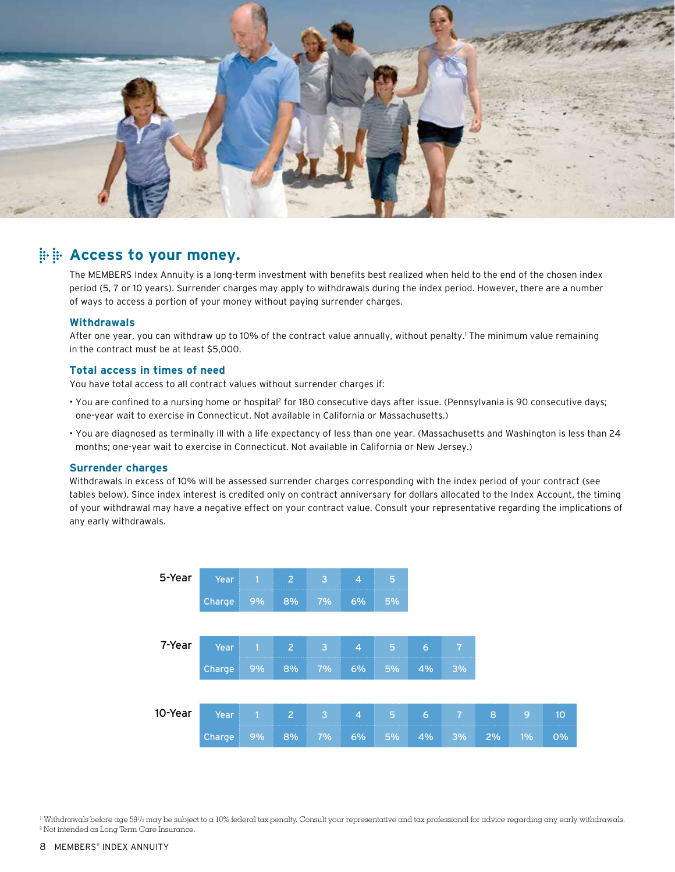

### **Access to your money.**

The MEMBERS Index Annuity is a long-term investment with benefits best realized when held to the end of the chosen index period (5, 7 or 10 years). Surrender charges may apply to withdrawals during the index period. However, there are a number of ways to access a portion of your money without paying surrender charges.

### **Withdrawals**

After one year, you can withdraw up to 10% of the contract value annually, without penalty.' The minimum value remaining in the contract must be at least \$5,000.

### **Total access in times of need**

You have total access to all contract values without surrender charges if:

- You are confined to a nursing home or hospital2 for 180 consecutive days after issue. (Pennsylvania is 90 consecutive days; one-year wait to exercise in Connecticut. Not available in California or Massachusetts.)
- You are diagnosed as terminally ill with a life expectancy of less than one year. (Massachusetts and Washington is less than 24 months; one-year wait to exercise in Connecticut. Not available in California or New Jersey.)

#### **Surrender charges**

Withdrawals in excess of 10% will be assessed surrender charges corresponding with the index period of your contract (see tables below). Since index interest is credited only on contract anniversary for dollars allocated to the Index Account, the timing of your withdrawal may have a negative effect on your contract value. Consult your representative regarding the implications of any early withdrawals.



<sup>1</sup> Withdrawals before age 59½ may be subject to a 10% federal tax penalty. Consult your representative and tax professional for advice regarding any early withdrawals. <sup>2</sup> Not intended as Long Term Care Insurance.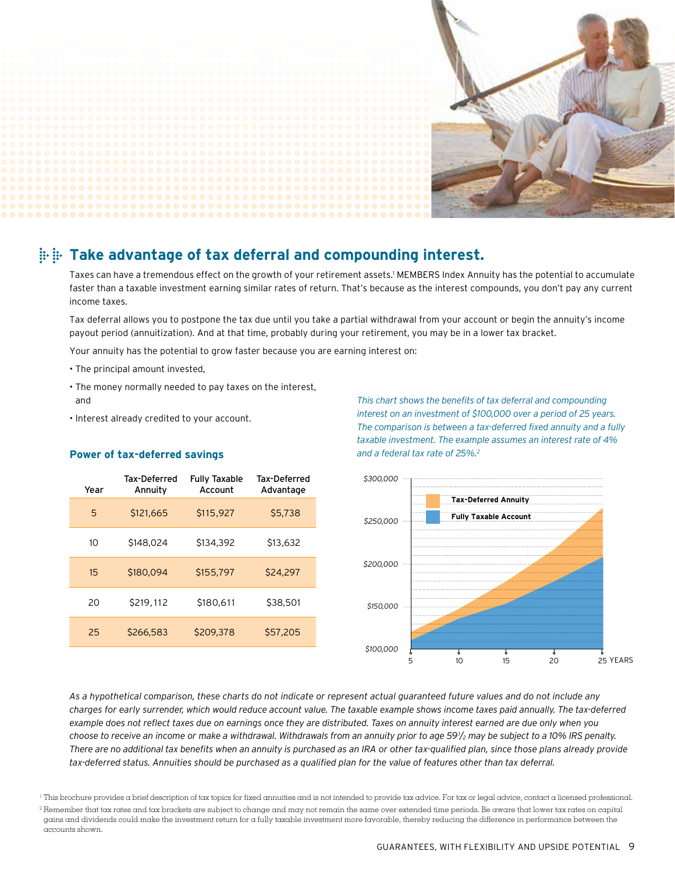

### **Take advantage of tax deferral and compounding interest.**

Taxes can have a tremendous effect on the growth of your retirement assets.1 MEMBERS Index Annuity has the potential to accumulate faster than a taxable investment earning similar rates of return. That's because as the interest compounds, you don't pay any current income taxes.

Tax deferral allows you to postpone the tax due until you take a partial withdrawal from your account or begin the annuity's income payout period (annuitization). And at that time, probably during your retirement, you may be in a lower tax bracket.

Your annuity has the potential to grow faster because you are earning interest on:

- The principal amount invested,
- The money normally needed to pay taxes on the interest, and
- Interest already credited to your account.

### **Power of tax-deferred savings**

| Year | Tax-Deferred<br>Annuity | <b>Fully Taxable</b><br>Account | Tax-Deferred<br>Advantage |
|------|-------------------------|---------------------------------|---------------------------|
| 5    | \$121,665               | \$115,927                       | \$5,738                   |
| 10   | \$148,024               | \$134,392                       | \$13,632                  |
| 15   | \$180,094               | \$155.797                       | \$24,297                  |
| 20   | \$219,112               | \$180,611                       | \$38,501                  |
| 25   | \$266,583               | \$209,378                       | \$57,205                  |

*This chart shows the benefits of tax deferral and compounding interest on an investment of \$100,000 over a period of 25 years. The comparison is between a tax-deferred fixed annuity and a fully taxable investment. The example assumes an interest rate of 4% and a federal tax rate of 25%.2*



*As a hypothetical comparison, these charts do not indicate or represent actual guaranteed future values and do not include any charges for early surrender, which would reduce account value. The taxable example shows income taxes paid annually. The tax-deferred example does not reflect taxes due on earnings once they are distributed. Taxes on annuity interest earned are due only when you choose to receive an income or make a withdrawal. Withdrawals from an annuity prior to age 591 /2 may be subject to a 10% IRS penalty. There are no additional tax benefits when an annuity is purchased as an IRA or other tax-qualified plan, since those plans already provide tax-deferred status. Annuities should be purchased as a qualified plan for the value of features other than tax deferral.*

<sup>1</sup> This brochure provides a brief description of tax topics for fixed annuities and is not intended to provide tax advice. For tax or legal advice, contact a licensed professional.

<sup>&</sup>lt;sup>2</sup> Remember that tax rates and tax brackets are subject to change and may not remain the same over extended time periods. Be aware that lower tax rates on capital gains and dividends could make the investment return for a fully taxable investment more favorable, thereby reducing the difference in performance between the accounts shown.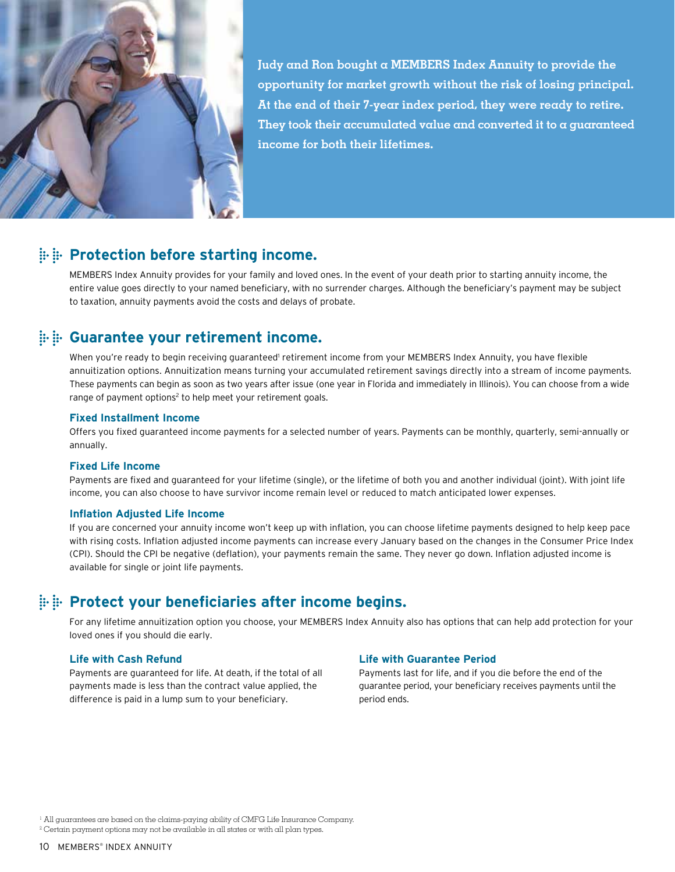

**Judy and Ron bought a MEMBERS Index Annuity to provide the opportunity for market growth without the risk of losing principal. At the end of their 7-year index period, they were ready to retire. They took their accumulated value and converted it to a guaranteed income for both their lifetimes.**

### **EXALUTE:** Protection before starting income.

MEMBERS Index Annuity provides for your family and loved ones. In the event of your death prior to starting annuity income, the entire value goes directly to your named beneficiary, with no surrender charges. Although the beneficiary's payment may be subject to taxation, annuity payments avoid the costs and delays of probate.

### **Guarantee your retirement income.**

When you're ready to begin receiving guaranteed' retirement income from your MEMBERS Index Annuity, you have flexible annuitization options. Annuitization means turning your accumulated retirement savings directly into a stream of income payments. These payments can begin as soon as two years after issue (one year in Florida and immediately in Illinois). You can choose from a wide range of payment options<sup>2</sup> to help meet your retirement goals.

### **Fixed Installment Income**

Offers you fixed guaranteed income payments for a selected number of years. Payments can be monthly, quarterly, semi-annually or annually.

### **Fixed Life Income**

Payments are fixed and guaranteed for your lifetime (single), or the lifetime of both you and another individual (joint). With joint life income, you can also choose to have survivor income remain level or reduced to match anticipated lower expenses.

### **Inflation Adjusted Life Income**

If you are concerned your annuity income won't keep up with inflation, you can choose lifetime payments designed to help keep pace with rising costs. Inflation adjusted income payments can increase every January based on the changes in the Consumer Price Index (CPI). Should the CPI be negative (deflation), your payments remain the same. They never go down. Inflation adjusted income is available for single or joint life payments.

### **Protect your beneficiaries after income begins.**

For any lifetime annuitization option you choose, your MEMBERS Index Annuity also has options that can help add protection for your loved ones if you should die early.

### **Life with Cash Refund**

Payments are guaranteed for life. At death, if the total of all payments made is less than the contract value applied, the difference is paid in a lump sum to your beneficiary.

### **Life with Guarantee Period**

Payments last for life, and if you die before the end of the guarantee period, your beneficiary receives payments until the period ends.

<sup>&</sup>lt;sup>1</sup> All guarantees are based on the claims-paying ability of CMFG Life Insurance Company.

 $^2$  Certain payment options may not be available in all states or with all plan types.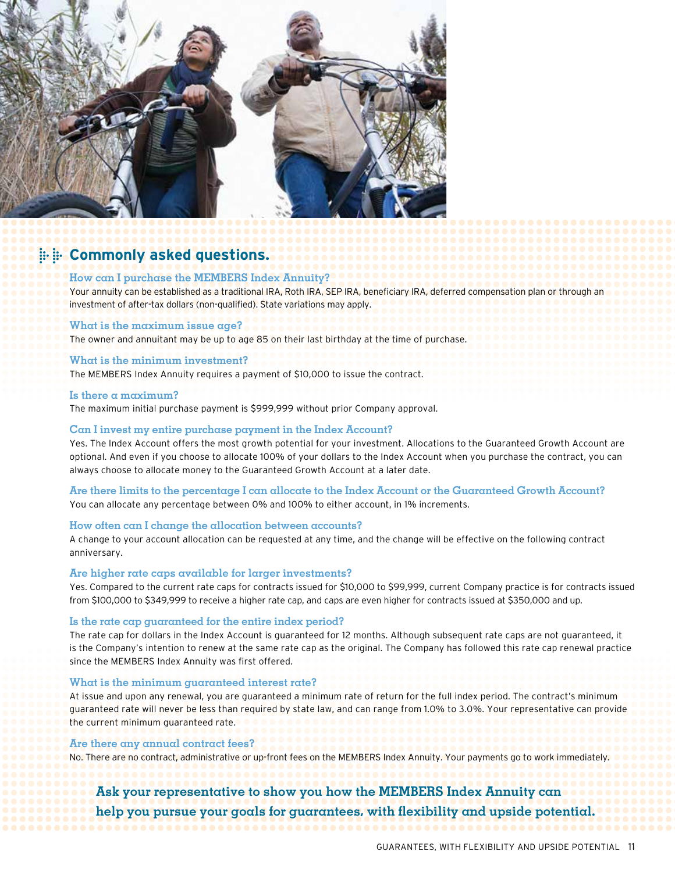

### **E. E. Commonly asked questions.**

### **How can I purchase the MEMBERS Index Annuity?**

Your annuity can be established as a traditional IRA, Roth IRA, SEP IRA, beneficiary IRA, deferred compensation plan or through an investment of after-tax dollars (non-qualified). State variations may apply.

#### **What is the maximum issue age?**

The owner and annuitant may be up to age 85 on their last birthday at the time of purchase.

#### **What is the minimum investment?**

The MEMBERS Index Annuity requires a payment of \$10,000 to issue the contract.

#### **Is there a maximum?**

The maximum initial purchase payment is \$999,999 without prior Company approval.

### **Can I invest my entire purchase payment in the Index Account?**

Yes. The Index Account offers the most growth potential for your investment. Allocations to the Guaranteed Growth Account are optional. And even if you choose to allocate 100% of your dollars to the Index Account when you purchase the contract, you can always choose to allocate money to the Guaranteed Growth Account at a later date.

**Are there limits to the percentage I can allocate to the Index Account or the Guaranteed Growth Account?** You can allocate any percentage between 0% and 100% to either account, in 1% increments.

### **How often can I change the allocation between accounts?**

A change to your account allocation can be requested at any time, and the change will be effective on the following contract anniversary.

#### **Are higher rate caps available for larger investments?**

Yes. Compared to the current rate caps for contracts issued for \$10,000 to \$99,999, current Company practice is for contracts issued from \$100,000 to \$349,999 to receive a higher rate cap, and caps are even higher for contracts issued at \$350,000 and up.

#### **Is the rate cap guaranteed for the entire index period?**

The rate cap for dollars in the Index Account is guaranteed for 12 months. Although subsequent rate caps are not guaranteed, it is the Company's intention to renew at the same rate cap as the original. The Company has followed this rate cap renewal practice since the MEMBERS Index Annuity was first offered.

#### **What is the minimum guaranteed interest rate?**

At issue and upon any renewal, you are guaranteed a minimum rate of return for the full index period. The contract's minimum guaranteed rate will never be less than required by state law, and can range from 1.0% to 3.0%. Your representative can provide the current minimum guaranteed rate.

### **Are there any annual contract fees?**

No. There are no contract, administrative or up-front fees on the MEMBERS Index Annuity. Your payments go to work immediately.

### **Ask your representative to show you how the MEMBERS Index Annuity can help you pursue your goals for guarantees, with flexibility and upside potential.**